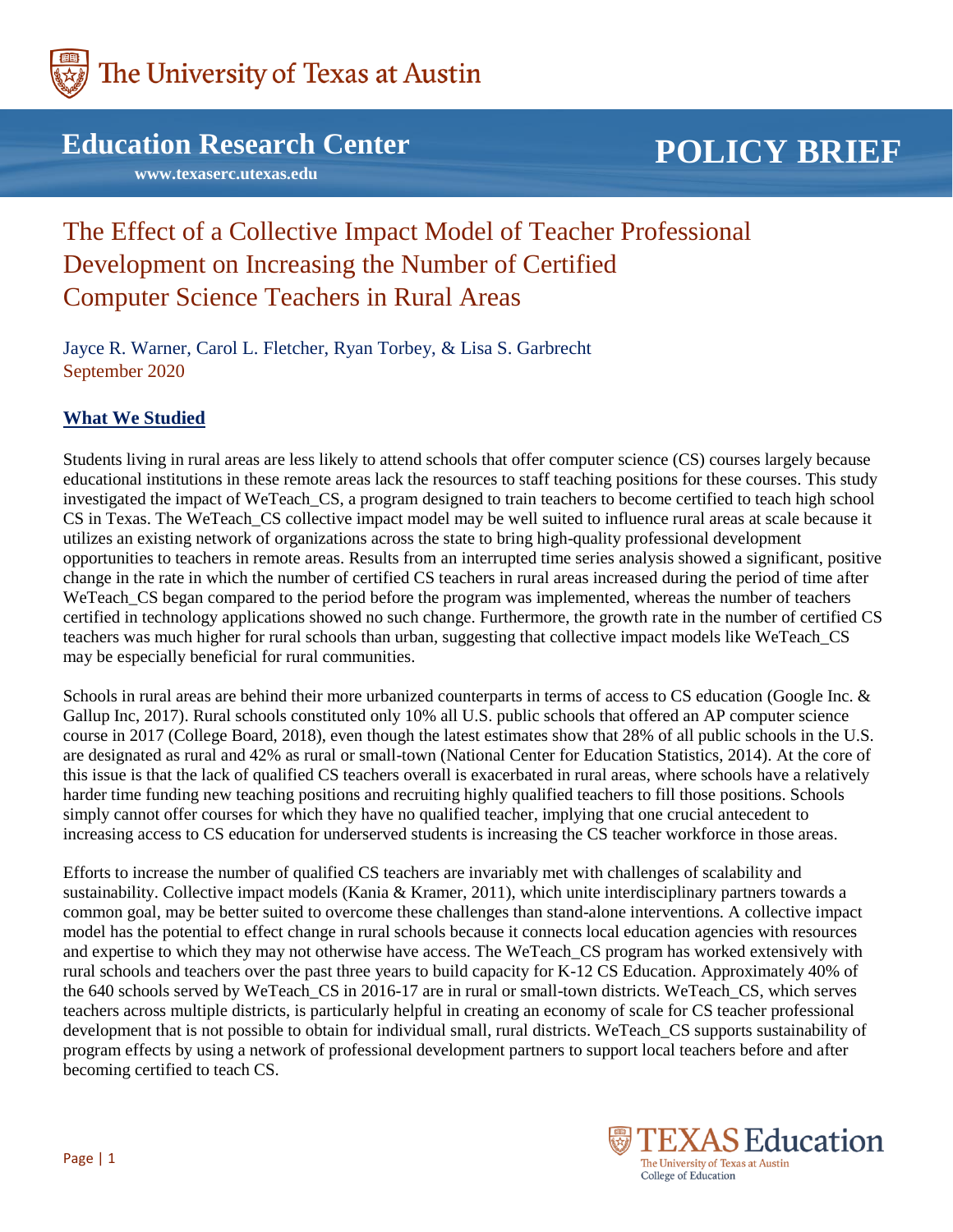

## **Education Research Center**

 **www.texaserc.utexas.edu**

# **POLICY BRIEF**

## The Effect of a Collective Impact Model of Teacher Professional Development on Increasing the Number of Certified Computer Science Teachers in Rural Areas

Jayce R. Warner, Carol L. Fletcher, Ryan Torbey, & Lisa S. Garbrecht September 2020

### **What We Studied**

Students living in rural areas are less likely to attend schools that offer computer science (CS) courses largely because educational institutions in these remote areas lack the resources to staff teaching positions for these courses. This study investigated the impact of WeTeach\_CS, a program designed to train teachers to become certified to teach high school CS in Texas. The WeTeach\_CS collective impact model may be well suited to influence rural areas at scale because it utilizes an existing network of organizations across the state to bring high-quality professional development opportunities to teachers in remote areas. Results from an interrupted time series analysis showed a significant, positive change in the rate in which the number of certified CS teachers in rural areas increased during the period of time after WeTeach\_CS began compared to the period before the program was implemented, whereas the number of teachers certified in technology applications showed no such change. Furthermore, the growth rate in the number of certified CS teachers was much higher for rural schools than urban, suggesting that collective impact models like WeTeach\_CS may be especially beneficial for rural communities.

Schools in rural areas are behind their more urbanized counterparts in terms of access to CS education (Google Inc. & Gallup Inc, 2017). Rural schools constituted only 10% all U.S. public schools that offered an AP computer science course in 2017 (College Board, 2018), even though the latest estimates show that 28% of all public schools in the U.S. are designated as rural and 42% as rural or small-town (National Center for Education Statistics, 2014). At the core of this issue is that the lack of qualified CS teachers overall is exacerbated in rural areas, where schools have a relatively harder time funding new teaching positions and recruiting highly qualified teachers to fill those positions. Schools simply cannot offer courses for which they have no qualified teacher, implying that one crucial antecedent to increasing access to CS education for underserved students is increasing the CS teacher workforce in those areas.

Efforts to increase the number of qualified CS teachers are invariably met with challenges of scalability and sustainability. Collective impact models (Kania & Kramer, 2011), which unite interdisciplinary partners towards a common goal, may be better suited to overcome these challenges than stand-alone interventions. A collective impact model has the potential to effect change in rural schools because it connects local education agencies with resources and expertise to which they may not otherwise have access. The WeTeach\_CS program has worked extensively with rural schools and teachers over the past three years to build capacity for K-12 CS Education. Approximately 40% of the 640 schools served by WeTeach\_CS in 2016-17 are in rural or small-town districts. WeTeach\_CS, which serves teachers across multiple districts, is particularly helpful in creating an economy of scale for CS teacher professional development that is not possible to obtain for individual small, rural districts. WeTeach\_CS supports sustainability of program effects by using a network of professional development partners to support local teachers before and after becoming certified to teach CS.

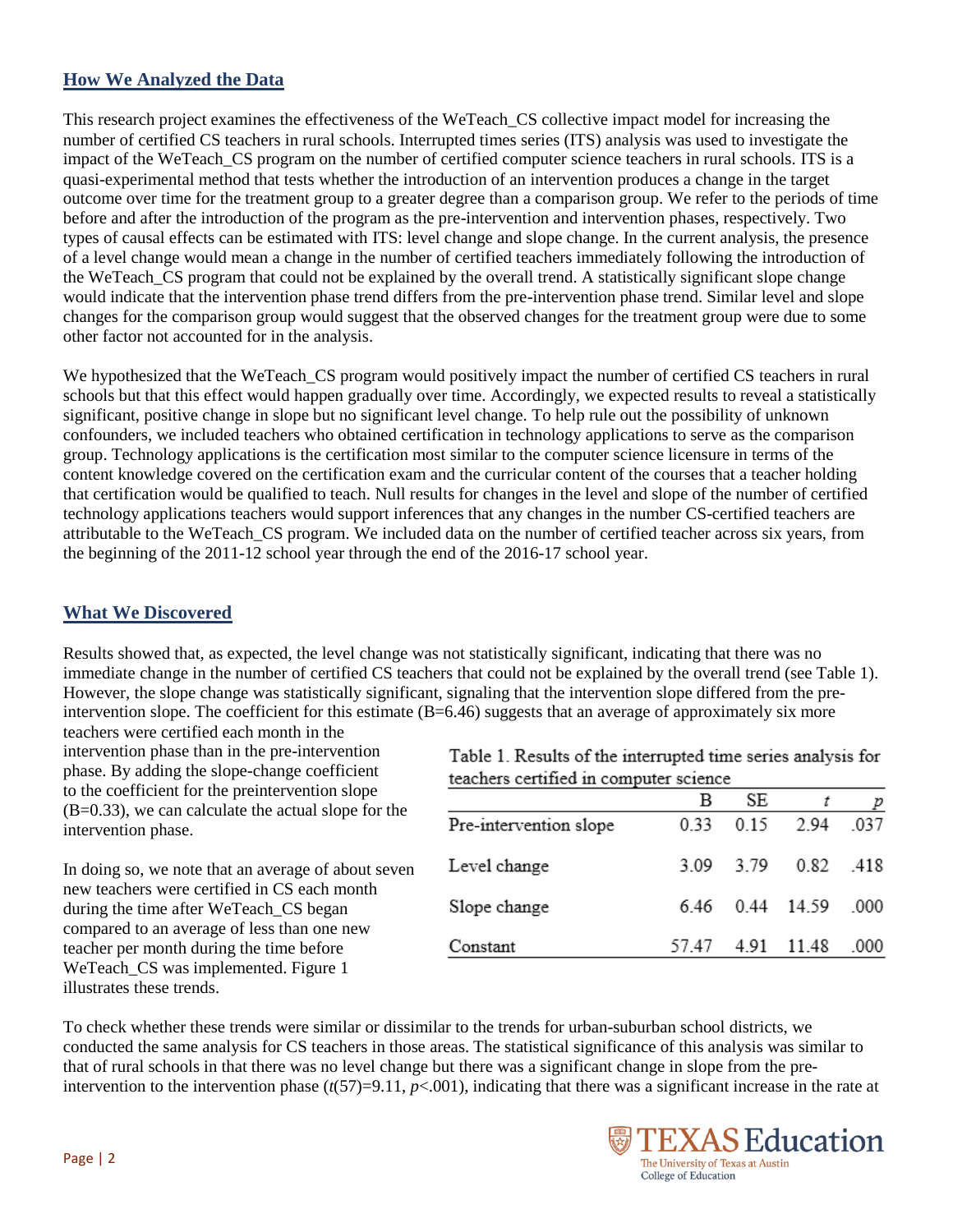#### **How We Analyzed the Data**

This research project examines the effectiveness of the WeTeach\_CS collective impact model for increasing the number of certified CS teachers in rural schools. Interrupted times series (ITS) analysis was used to investigate the impact of the WeTeach CS program on the number of certified computer science teachers in rural schools. ITS is a quasi-experimental method that tests whether the introduction of an intervention produces a change in the target outcome over time for the treatment group to a greater degree than a comparison group. We refer to the periods of time before and after the introduction of the program as the pre-intervention and intervention phases, respectively. Two types of causal effects can be estimated with ITS: level change and slope change. In the current analysis, the presence of a level change would mean a change in the number of certified teachers immediately following the introduction of the WeTeach\_CS program that could not be explained by the overall trend. A statistically significant slope change would indicate that the intervention phase trend differs from the pre-intervention phase trend. Similar level and slope changes for the comparison group would suggest that the observed changes for the treatment group were due to some other factor not accounted for in the analysis.

We hypothesized that the WeTeach\_CS program would positively impact the number of certified CS teachers in rural schools but that this effect would happen gradually over time. Accordingly, we expected results to reveal a statistically significant, positive change in slope but no significant level change. To help rule out the possibility of unknown confounders, we included teachers who obtained certification in technology applications to serve as the comparison group. Technology applications is the certification most similar to the computer science licensure in terms of the content knowledge covered on the certification exam and the curricular content of the courses that a teacher holding that certification would be qualified to teach. Null results for changes in the level and slope of the number of certified technology applications teachers would support inferences that any changes in the number CS-certified teachers are attributable to the WeTeach CS program. We included data on the number of certified teacher across six years, from the beginning of the 2011-12 school year through the end of the 2016-17 school year.

#### **What We Discovered**

Results showed that, as expected, the level change was not statistically significant, indicating that there was no immediate change in the number of certified CS teachers that could not be explained by the overall trend (see Table 1). However, the slope change was statistically significant, signaling that the intervention slope differed from the preintervention slope. The coefficient for this estimate  $(B=6.46)$  suggests that an average of approximately six more

teachers were certified each month in the intervention phase than in the pre-intervention phase. By adding the slope-change coefficient to the coefficient for the preintervention slope (B=0.33), we can calculate the actual slope for the intervention phase.

In doing so, we note that an average of about seven new teachers were certified in CS each month during the time after WeTeach CS began compared to an average of less than one new teacher per month during the time before WeTeach\_CS was implemented. Figure 1 illustrates these trends.

| Table 1. Results of the interrupted time series analysis for |  |  |  |  |
|--------------------------------------------------------------|--|--|--|--|
| teachers certified in computer science                       |  |  |  |  |

|                        | в     | SE   |            | р     |
|------------------------|-------|------|------------|-------|
| Pre-intervention slope | 0.33  | 0.15 | 2.94       | -037  |
| Level change           | 3.09  | 3.79 | 0.82       | - 418 |
| Slope change           | 6 46  |      | 0.44 14.59 | .000  |
| Constant               | 57 47 | 4.91 | 11.48      | .000  |

To check whether these trends were similar or dissimilar to the trends for urban-suburban school districts, we conducted the same analysis for CS teachers in those areas. The statistical significance of this analysis was similar to that of rural schools in that there was no level change but there was a significant change in slope from the preintervention to the intervention phase  $(t(57)=9.11, p<0.001)$ , indicating that there was a significant increase in the rate at

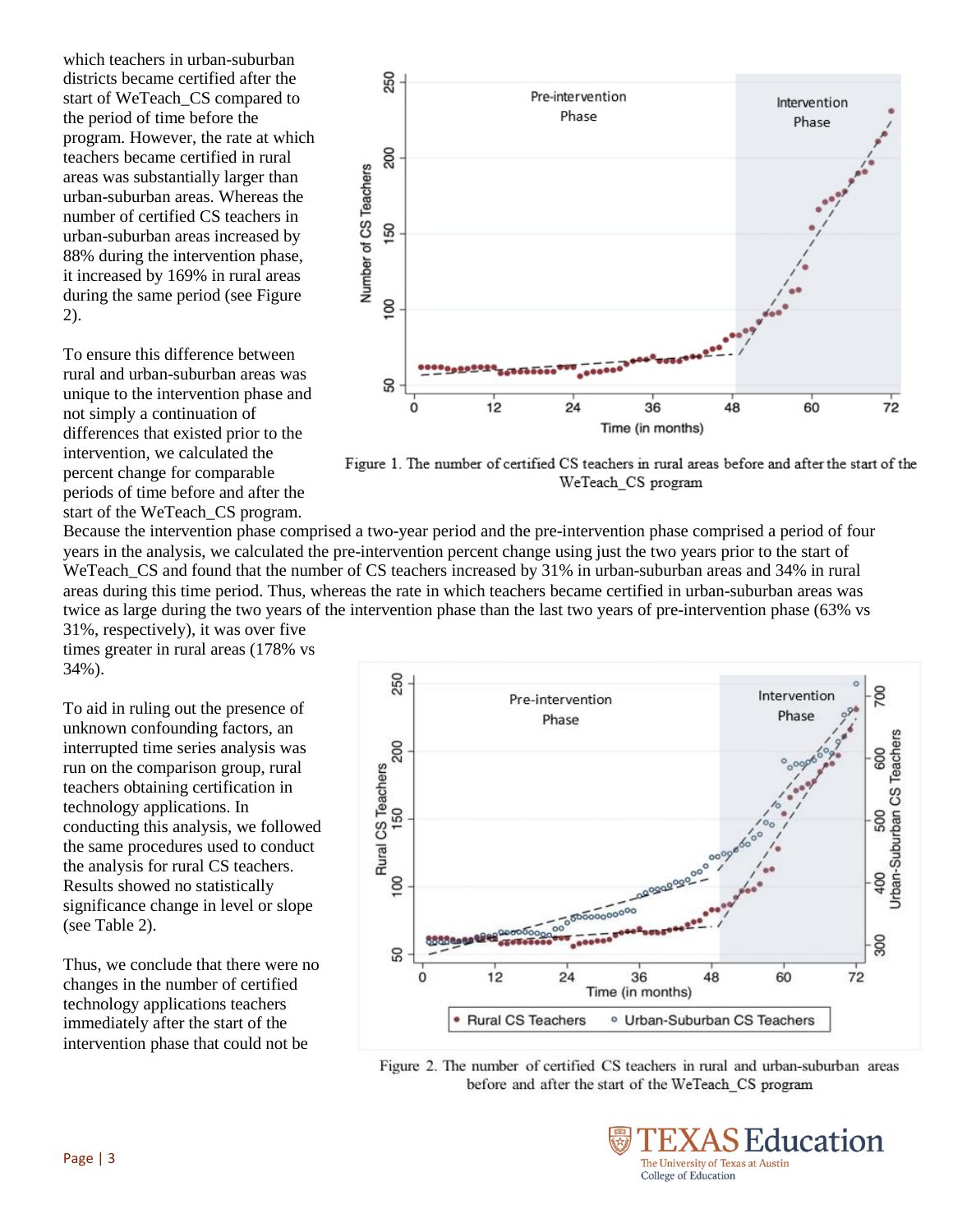which teachers in urban-suburban districts became certified after the start of WeTeach\_CS compared to the period of time before the program. However, the rate at which teachers became certified in rural areas was substantially larger than urban-suburban areas. Whereas the number of certified CS teachers in urban-suburban areas increased by 88% during the intervention phase, it increased by 169% in rural areas during the same period (see Figure 2).

To ensure this difference between rural and urban-suburban areas was unique to the intervention phase and not simply a continuation of differences that existed prior to the intervention, we calculated the percent change for comparable periods of time before and after the start of the WeTeach\_CS program.



Figure 1. The number of certified CS teachers in rural areas before and after the start of the WeTeach CS program

Because the intervention phase comprised a two-year period and the pre-intervention phase comprised a period of four years in the analysis, we calculated the pre-intervention percent change using just the two years prior to the start of WeTeach\_CS and found that the number of CS teachers increased by 31% in urban-suburban areas and 34% in rural areas during this time period. Thus, whereas the rate in which teachers became certified in urban-suburban areas was twice as large during the two years of the intervention phase than the last two years of pre-intervention phase (63% vs 31%, respectively), it was over five

times greater in rural areas (178% vs 34%).

To aid in ruling out the presence of unknown confounding factors, an interrupted time series analysis was run on the comparison group, rural teachers obtaining certification in technology applications. In conducting this analysis, we followed the same procedures used to conduct the analysis for rural CS teachers. Results showed no statistically significance change in level or slope (see Table 2).

Thus, we conclude that there were no changes in the number of certified technology applications teachers immediately after the start of the intervention phase that could not be



Figure 2. The number of certified CS teachers in rural and urban-suburban areas before and after the start of the WeTeach CS program

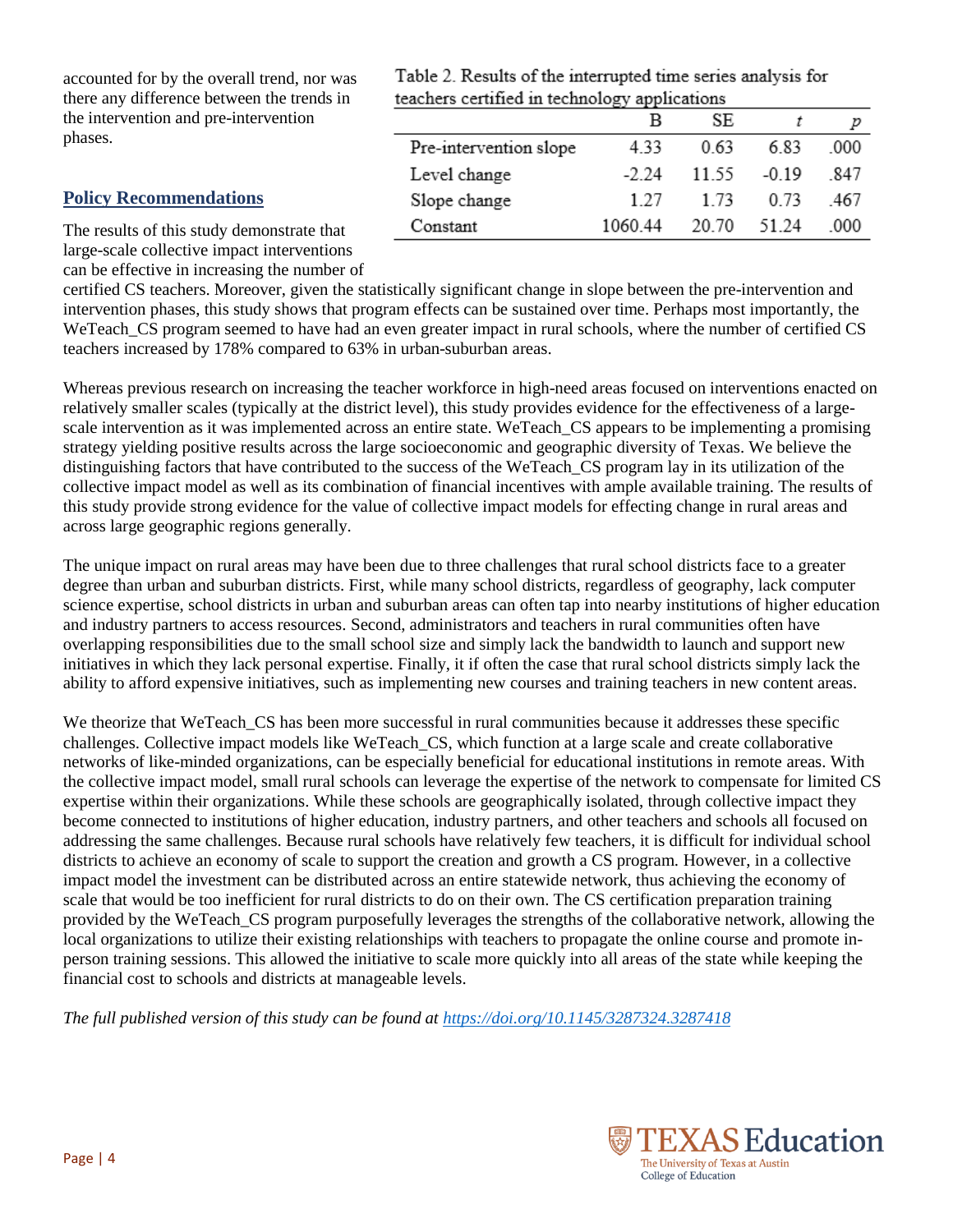accounted for by the overall trend, nor was there any difference between the trends in the intervention and pre-intervention phases.

#### **Policy Recommendations**

Table 2. Results of the interrupted time series analysis for teachers certified in technology applications

|                        | в       | SE.   |         |      |
|------------------------|---------|-------|---------|------|
| Pre-intervention slope | 4.33    | 0.63  | 683     | -000 |
| Level change           | $-2.24$ | 11.55 | $-0.19$ | -847 |
| Slope change           | 127     | 1 73  | 0.73    | 467  |
| Constant               | 106044  | 20.70 | 51.24   | 000  |

The results of this study demonstrate that large-scale collective impact interventions can be effective in increasing the number of

certified CS teachers. Moreover, given the statistically significant change in slope between the pre-intervention and intervention phases, this study shows that program effects can be sustained over time. Perhaps most importantly, the WeTeach CS program seemed to have had an even greater impact in rural schools, where the number of certified CS teachers increased by 178% compared to 63% in urban-suburban areas.

Whereas previous research on increasing the teacher workforce in high-need areas focused on interventions enacted on relatively smaller scales (typically at the district level), this study provides evidence for the effectiveness of a largescale intervention as it was implemented across an entire state. WeTeach\_CS appears to be implementing a promising strategy yielding positive results across the large socioeconomic and geographic diversity of Texas. We believe the distinguishing factors that have contributed to the success of the WeTeach CS program lay in its utilization of the collective impact model as well as its combination of financial incentives with ample available training. The results of this study provide strong evidence for the value of collective impact models for effecting change in rural areas and across large geographic regions generally.

The unique impact on rural areas may have been due to three challenges that rural school districts face to a greater degree than urban and suburban districts. First, while many school districts, regardless of geography, lack computer science expertise, school districts in urban and suburban areas can often tap into nearby institutions of higher education and industry partners to access resources. Second, administrators and teachers in rural communities often have overlapping responsibilities due to the small school size and simply lack the bandwidth to launch and support new initiatives in which they lack personal expertise. Finally, it if often the case that rural school districts simply lack the ability to afford expensive initiatives, such as implementing new courses and training teachers in new content areas.

We theorize that WeTeach CS has been more successful in rural communities because it addresses these specific challenges. Collective impact models like WeTeach\_CS, which function at a large scale and create collaborative networks of like-minded organizations, can be especially beneficial for educational institutions in remote areas. With the collective impact model, small rural schools can leverage the expertise of the network to compensate for limited CS expertise within their organizations. While these schools are geographically isolated, through collective impact they become connected to institutions of higher education, industry partners, and other teachers and schools all focused on addressing the same challenges. Because rural schools have relatively few teachers, it is difficult for individual school districts to achieve an economy of scale to support the creation and growth a CS program. However, in a collective impact model the investment can be distributed across an entire statewide network, thus achieving the economy of scale that would be too inefficient for rural districts to do on their own. The CS certification preparation training provided by the WeTeach\_CS program purposefully leverages the strengths of the collaborative network, allowing the local organizations to utilize their existing relationships with teachers to propagate the online course and promote inperson training sessions. This allowed the initiative to scale more quickly into all areas of the state while keeping the financial cost to schools and districts at manageable levels.

*The full published version of this study can be found at<https://doi.org/10.1145/3287324.3287418>*